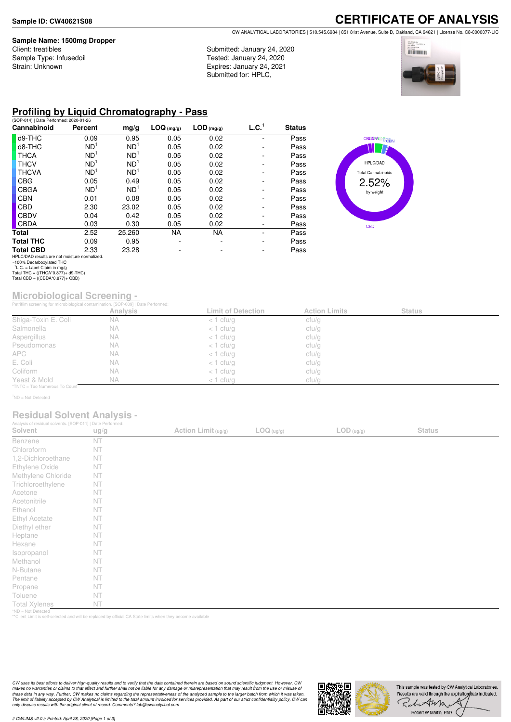#### **Sample Name: 1500mg Dropper**

Client: treatibles Sample Type: Infusedoil Strain: Unknown

**CERTIFICATE OF ANALYSIS** CW ANALYTICAL LABORATORIES | 510.545.6984 | 851 81st Avenue, Suite D, Oakland, CA 94621 | License No. C8-0000077-LIC

Submitted: January 24, 2020 Tested: January 24, 2020 Expires: January 24, 2021 Submitted for: HPLC,



## **Profiling by Liquid Chromatography - Pass**

| (SOP-014)   Date Performed: 2020-01-26        |                 |                 |            |              |                   |               |
|-----------------------------------------------|-----------------|-----------------|------------|--------------|-------------------|---------------|
| Cannabinoid                                   | Percent         | mg/g            | LOG (mg/g) | $LOD$ (mg/g) | L.C. <sup>1</sup> | <b>Status</b> |
| d9-THC                                        | 0.09            | 0.95            | 0.05       | 0.02         |                   | Pass          |
| d8-THC                                        | ND <sup>1</sup> | ND <sup>1</sup> | 0.05       | 0.02         |                   | Pass          |
| <b>THCA</b>                                   | ND <sup>1</sup> | ND <sup>1</sup> | 0.05       | 0.02         |                   | Pass          |
| <b>THCV</b>                                   | ND <sup>1</sup> | ND <sup>1</sup> | 0.05       | 0.02         |                   | Pass          |
| <b>THCVA</b>                                  | ND <sup>1</sup> | ND <sup>1</sup> | 0.05       | 0.02         | ۰                 | Pass          |
| CBG                                           | 0.05            | 0.49            | 0.05       | 0.02         |                   | Pass          |
| CBGA                                          | ND <sup>1</sup> | ND <sup>1</sup> | 0.05       | 0.02         |                   | Pass          |
| <b>CBN</b>                                    | 0.01            | 0.08            | 0.05       | 0.02         |                   | Pass          |
| CBD                                           | 2.30            | 23.02           | 0.05       | 0.02         |                   | Pass          |
| <b>CBDV</b>                                   | 0.04            | 0.42            | 0.05       | 0.02         |                   | Pass          |
| <b>CBDA</b>                                   | 0.03            | 0.30            | 0.05       | 0.02         | ۰                 | Pass          |
| <b>Total</b>                                  | 2.52            | 25.260          | <b>NA</b>  | <b>NA</b>    |                   | Pass          |
| <b>Total THC</b>                              | 0.09            | 0.95            |            |              |                   | Pass          |
| <b>Total CBD</b>                              | 2.33            | 23.28           |            |              |                   | Pass          |
| HPLC/DAD results are not moisture normalized. |                 |                 |            |              |                   |               |



### **Microbiological Screening -**

|                               | Petriflim screening for microbiological contamination. [SOP-009]   Date Performed: |                           |                      |               |  |
|-------------------------------|------------------------------------------------------------------------------------|---------------------------|----------------------|---------------|--|
|                               | <b>Analysis</b>                                                                    | <b>Limit of Detection</b> | <b>Action Limits</b> | <b>Status</b> |  |
| Shiga-Toxin E. Coli           | <b>NA</b>                                                                          | $<$ 1 cfu/g               | cfu/g                |               |  |
| Salmonella                    | <b>NA</b>                                                                          | $<$ 1 cfu/g               | cfu/g                |               |  |
| Aspergillus                   | <b>NA</b>                                                                          | $<$ 1 cfu/g               | cfu/g                |               |  |
| Pseudomonas                   | <b>NA</b>                                                                          | $<$ 1 cfu/g               | cfu/g                |               |  |
| APC                           | <b>NA</b>                                                                          | $<$ 1 cfu/g               | cfu/g                |               |  |
| E. Coli                       | <b>NA</b>                                                                          | $<$ 1 cfu/g               | cfu/g                |               |  |
| Coliform                      | <b>NA</b>                                                                          | $<$ 1 cfu/g               | cfu/g                |               |  |
| Yeast & Mold                  | <b>NA</b>                                                                          | $<$ 1 cfu/g               | cfu/g                |               |  |
| *TNTC = Too Numerous To Count |                                                                                    |                           |                      |               |  |

 $1$ ND = Not Detected

### **Residual Solvent Analysis -**

| Analysis of residual solvents. [SOP-011]   Date Performed: |      |                     |                     |                                                                    |               |  |
|------------------------------------------------------------|------|---------------------|---------------------|--------------------------------------------------------------------|---------------|--|
| Solvent                                                    | ug/g | Action Limit (ug/g) | $\text{LOG (ug/g)}$ | $\mathsf{LOD}\left(\frac{\mathsf{u}\mathsf{g}}{\mathsf{g}}\right)$ | <b>Status</b> |  |
| Benzene                                                    | NT   |                     |                     |                                                                    |               |  |
| Chloroform                                                 | NT   |                     |                     |                                                                    |               |  |
| 1,2-Dichloroethane                                         | NT   |                     |                     |                                                                    |               |  |
| Ethylene Oxide                                             | NT   |                     |                     |                                                                    |               |  |
| Methylene Chloride                                         | NT   |                     |                     |                                                                    |               |  |
| Trichloroethylene                                          | NT   |                     |                     |                                                                    |               |  |
| Acetone                                                    | NT   |                     |                     |                                                                    |               |  |
| Acetonitrile                                               | NT   |                     |                     |                                                                    |               |  |
| Ethanol                                                    | NT   |                     |                     |                                                                    |               |  |
| Ethyl Acetate                                              | NT   |                     |                     |                                                                    |               |  |
| Diethyl ether                                              | NT   |                     |                     |                                                                    |               |  |
| Heptane                                                    | NT   |                     |                     |                                                                    |               |  |
| Hexane                                                     | NT   |                     |                     |                                                                    |               |  |
| Isopropanol                                                | NT   |                     |                     |                                                                    |               |  |
| Methanol                                                   | NT   |                     |                     |                                                                    |               |  |
| N-Butane                                                   | NT   |                     |                     |                                                                    |               |  |
| Pentane                                                    | NT   |                     |                     |                                                                    |               |  |
| Propane                                                    | NT   |                     |                     |                                                                    |               |  |
| Toluene                                                    | NT   |                     |                     |                                                                    |               |  |
| <b>Total Xylenes</b>                                       | NT   |                     |                     |                                                                    |               |  |
| *ND = Not Detected                                         |      |                     |                     |                                                                    |               |  |

\*ND = Not Detected \*\*Client Limit is self-selected and will be replaced by official CA State limits when they become available

CW uses its best efforts to deliver high-quality results and to verify that the data contained therein are based on sound scientific judgment. However, CW<br>makes no warranties or claims to that effect and further shall not *only discuss results with the original client of record. Comments? lab@cwanalytical.com*



HPLC/DAD results are not moisture normalized. ~100% Decarboxylated THC 1 L.C. = Label Claim in mg/g Total THC = ((THCA\*0.877)+ d9-THC) Total CBD = ((CBDA\*0.877)+ CBD)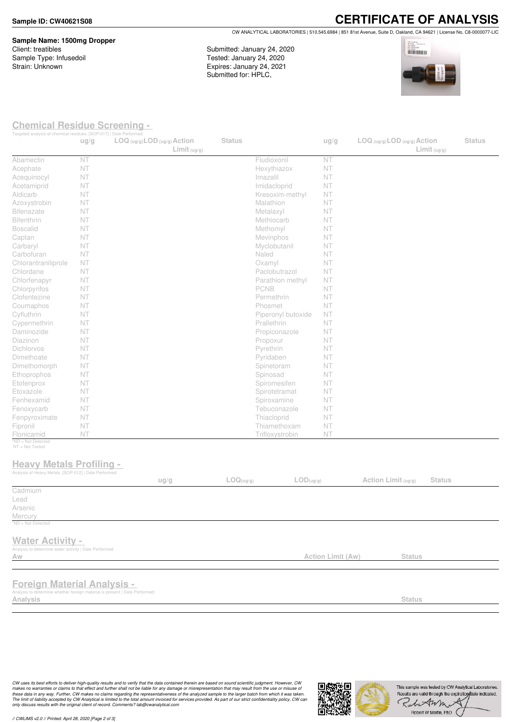**Sample Name: 1500mg Dropper** Client: treatibles Sample Type: Infusedoil Strain: Unknown

**CERTIFICATE OF ANALYSIS** CW ANALYTICAL LABORATORIES | 510.545.6984 | 851 81st Avenue, Suite D, Oakland, CA 94621 | License No. C8-0000077-LIC

Submitted: January 24, 2020 Tested: January 24, 2020 Expires: January 24, 2021 Submitted for: HPLC,



### **Chemical Residue Screening -**

| Targeted analysis of chemical residues. [SOP-017]   Date Performed:                                               | ug/g | $LOG (ug/g)$ <i>LOD</i> $(ug/g)$ <i>Action</i><br>Limit <sub>(ug/g)</sub> | <b>Status</b> |                        | ug/g              | $LOG (ug/g)$ LOD $(ug/g)$ Action | Limit <sub>(ug/g)</sub> | <b>Status</b> |
|-------------------------------------------------------------------------------------------------------------------|------|---------------------------------------------------------------------------|---------------|------------------------|-------------------|----------------------------------|-------------------------|---------------|
| Abamectin                                                                                                         | NT   |                                                                           |               | Fludioxonil            | NT                |                                  |                         |               |
| Acephate                                                                                                          | NT   |                                                                           |               | Hexythiazox            | NT                |                                  |                         |               |
| Acequinocyl                                                                                                       | NT   |                                                                           |               | Imazalil               | NT                |                                  |                         |               |
| Acetamiprid                                                                                                       | NT   |                                                                           |               | Imidacloprid           | NT                |                                  |                         |               |
| Aldicarb                                                                                                          | NT   |                                                                           |               | Kresoxim-methyl        | <b>NT</b>         |                                  |                         |               |
| Azoxystrobin                                                                                                      | NT   |                                                                           |               | Malathion              | NT                |                                  |                         |               |
| <b>Bifenazate</b>                                                                                                 | NT   |                                                                           |               | Metalaxyl              | NT                |                                  |                         |               |
| Bifenthrin                                                                                                        | NT   |                                                                           |               | Methiocarb             | NT                |                                  |                         |               |
| <b>Boscalid</b>                                                                                                   | NT   |                                                                           |               | Methomyl               | NT                |                                  |                         |               |
| Captan                                                                                                            | NT   |                                                                           |               | Mevinphos              | NT                |                                  |                         |               |
| Carbaryl                                                                                                          | NT   |                                                                           |               | Myclobutanil           | NT                |                                  |                         |               |
| Carbofuran                                                                                                        | NT   |                                                                           |               | Naled                  | NT                |                                  |                         |               |
| Chlorantraniliprole                                                                                               | NT   |                                                                           |               | Oxamyl                 | NT                |                                  |                         |               |
| Chlordane                                                                                                         | NT   |                                                                           |               | Paclobutrazol          | NT                |                                  |                         |               |
| Chlorfenapyr                                                                                                      | NT   |                                                                           |               | Parathion methyl       | <b>NT</b>         |                                  |                         |               |
| Chlorpyrifos                                                                                                      | NT   |                                                                           |               | PCNB                   | NT                |                                  |                         |               |
| Clofentezine                                                                                                      | NT   |                                                                           |               | Permethrin             | NT                |                                  |                         |               |
| Coumaphos                                                                                                         | NT   |                                                                           |               | Phosmet                | NT                |                                  |                         |               |
| Cyfluthrin                                                                                                        | NT   |                                                                           |               | Piperonyl butoxide     | NT                |                                  |                         |               |
|                                                                                                                   | NT   |                                                                           |               | Prallethrin            | NT                |                                  |                         |               |
| Cypermethrin<br>Daminozide                                                                                        | NT   |                                                                           |               | Propiconazole          | NT                |                                  |                         |               |
| Diazinon                                                                                                          | NT   |                                                                           |               | Propoxur               | NT                |                                  |                         |               |
| Dichlorvos                                                                                                        | NT   |                                                                           |               | Pyrethrin              | NT                |                                  |                         |               |
| Dimethoate                                                                                                        | NT   |                                                                           |               |                        | NT                |                                  |                         |               |
|                                                                                                                   | NT   |                                                                           |               | Pyridaben              | NT                |                                  |                         |               |
| Dimethomorph                                                                                                      | NT   |                                                                           |               | Spinetoram<br>Spinosad | NT                |                                  |                         |               |
| Ethoprophos                                                                                                       |      |                                                                           |               |                        |                   |                                  |                         |               |
| Etofenprox                                                                                                        | NT   |                                                                           |               | Spiromesifen           | NT                |                                  |                         |               |
| Etoxazole                                                                                                         | NT   |                                                                           |               | Spirotetramat          | NT                |                                  |                         |               |
| Fenhexamid                                                                                                        | NT   |                                                                           |               | Spiroxamine            | NT                |                                  |                         |               |
| Fenoxycarb                                                                                                        | NT   |                                                                           |               | Tebuconazole           | NT                |                                  |                         |               |
| Fenpyroximate                                                                                                     | NT   |                                                                           |               | Thiacloprid            | NT                |                                  |                         |               |
| Fipronil                                                                                                          | NT   |                                                                           |               | Thiamethoxam           | NT                |                                  |                         |               |
| Flonicamid<br>*ND = Not Detected                                                                                  | NT   |                                                                           |               | Trifloxystrobin        | NT                |                                  |                         |               |
| NT = Not Tested<br><b>Heavy Metals Profiling -</b><br>Analysis of Heavy Metals. [SOP-012]   Date Performed:       |      | ug/g                                                                      | LOG(ug/g)     | LOD(ug/g)              |                   | Action Limit (ug/g)              | <b>Status</b>           |               |
| Cadmium                                                                                                           |      |                                                                           |               |                        |                   |                                  |                         |               |
| Lead                                                                                                              |      |                                                                           |               |                        |                   |                                  |                         |               |
| Arsenic                                                                                                           |      |                                                                           |               |                        |                   |                                  |                         |               |
| Mercury                                                                                                           |      |                                                                           |               |                        |                   |                                  |                         |               |
| <sup>1</sup> ND = Not Detected                                                                                    |      |                                                                           |               |                        |                   |                                  |                         |               |
| <b>Water Activity -</b><br>Analysis to determine water activity   Date Performed:<br>Aw                           |      |                                                                           |               |                        | Action Limit (Aw) | <b>Status</b>                    |                         |               |
|                                                                                                                   |      |                                                                           |               |                        |                   |                                  |                         |               |
| <b>Foreign Material Analysis -</b><br>Analysis to determine whether foreign material is present   Date Performed: |      |                                                                           |               |                        |                   |                                  |                         |               |
| Analysis                                                                                                          |      |                                                                           |               |                        |                   | <b>Status</b>                    |                         |               |

CW uses its best efforts to deliver high-quality results and to verify that the data contained therein are based on sound scienting ideals. That may result from the use or missue of<br>makes no warranties or claims to that ef